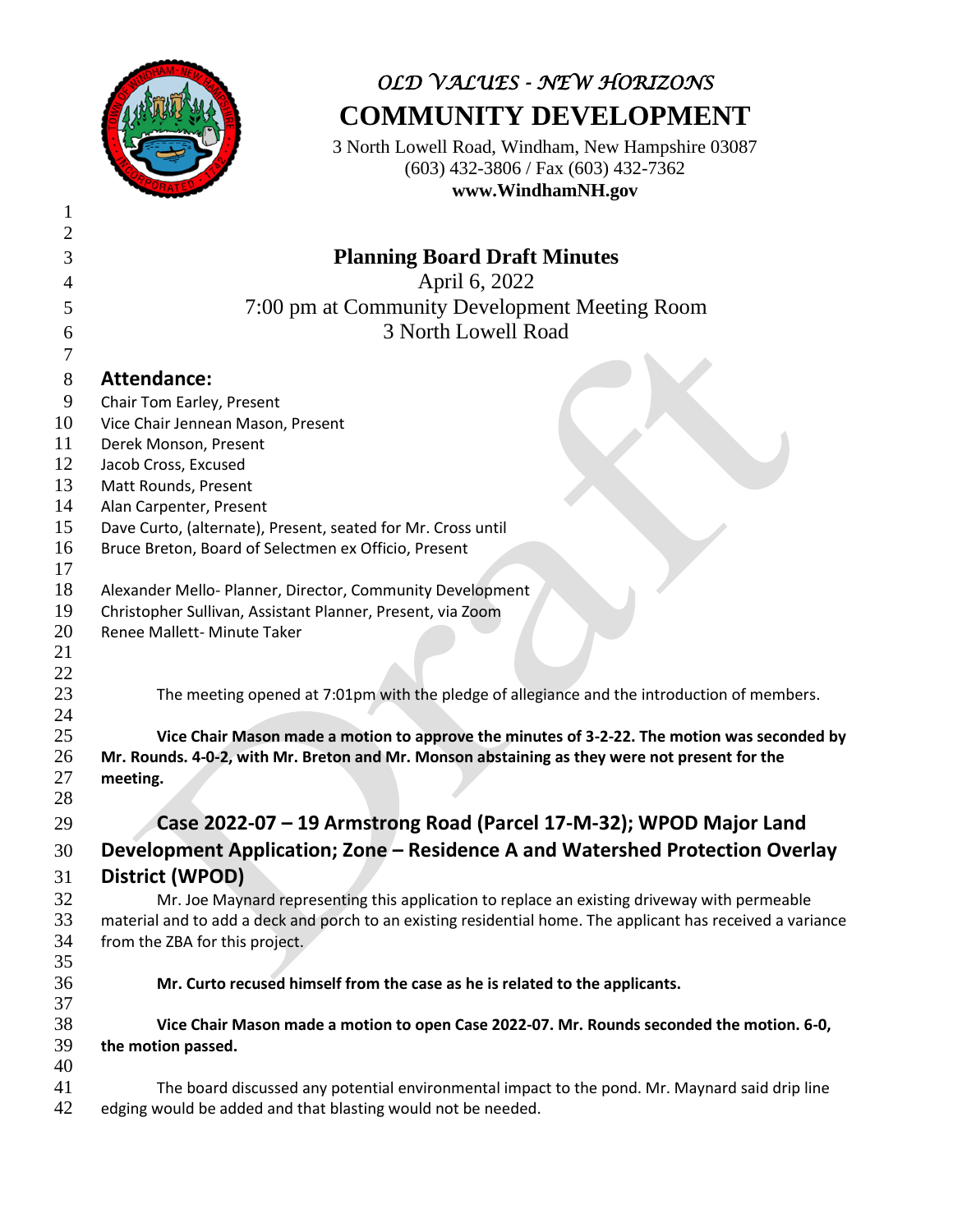

# *OLD VALUES - NEW HORIZONS* **COMMUNITY DEVELOPMENT**

3 North Lowell Road, Windham, New Hampshire 03087 (603) 432-3806 / Fax (603) 432-7362 **www.WindhamNH.gov**

| $\mathfrak{2}$ |                                                                                                                                                                |
|----------------|----------------------------------------------------------------------------------------------------------------------------------------------------------------|
| 3              | <b>Planning Board Draft Minutes</b>                                                                                                                            |
| 4              | April 6, 2022                                                                                                                                                  |
| 5              | 7:00 pm at Community Development Meeting Room                                                                                                                  |
|                | 3 North Lowell Road                                                                                                                                            |
| 6<br>7         |                                                                                                                                                                |
|                |                                                                                                                                                                |
| 8              | <b>Attendance:</b>                                                                                                                                             |
| 9              | Chair Tom Earley, Present                                                                                                                                      |
| 10<br>11       | Vice Chair Jennean Mason, Present<br>Derek Monson, Present                                                                                                     |
| 12             | Jacob Cross, Excused                                                                                                                                           |
| 13             | Matt Rounds, Present                                                                                                                                           |
| 14             | Alan Carpenter, Present                                                                                                                                        |
| 15             | Dave Curto, (alternate), Present, seated for Mr. Cross until                                                                                                   |
| 16             | Bruce Breton, Board of Selectmen ex Officio, Present                                                                                                           |
| 17             |                                                                                                                                                                |
| 18             | Alexander Mello- Planner, Director, Community Development                                                                                                      |
| 19             | Christopher Sullivan, Assistant Planner, Present, via Zoom                                                                                                     |
| 20             | Renee Mallett- Minute Taker                                                                                                                                    |
| 21             |                                                                                                                                                                |
| 22             |                                                                                                                                                                |
| 23             | The meeting opened at 7:01pm with the pledge of allegiance and the introduction of members.                                                                    |
| 24             |                                                                                                                                                                |
| 25             | Vice Chair Mason made a motion to approve the minutes of 3-2-22. The motion was seconded by                                                                    |
| 26             | Mr. Rounds. 4-0-2, with Mr. Breton and Mr. Monson abstaining as they were not present for the                                                                  |
| 27<br>28       | meeting.                                                                                                                                                       |
|                |                                                                                                                                                                |
| 29             | Case 2022-07 - 19 Armstrong Road (Parcel 17-M-32); WPOD Major Land                                                                                             |
| 30             | Development Application; Zone - Residence A and Watershed Protection Overlay                                                                                   |
| 31             | <b>District (WPOD)</b>                                                                                                                                         |
| 32             | Mr. Joe Maynard representing this application to replace an existing driveway with permeable                                                                   |
| 33             | material and to add a deck and porch to an existing residential home. The applicant has received a variance                                                    |
| 34             | from the ZBA for this project.                                                                                                                                 |
| 35             |                                                                                                                                                                |
| 36             | Mr. Curto recused himself from the case as he is related to the applicants.                                                                                    |
| 37             |                                                                                                                                                                |
| 38             | Vice Chair Mason made a motion to open Case 2022-07. Mr. Rounds seconded the motion. 6-0,                                                                      |
| 39             | the motion passed.                                                                                                                                             |
| 40<br>41       |                                                                                                                                                                |
| 42             | The board discussed any potential environmental impact to the pond. Mr. Maynard said drip line<br>edging would be added and that blasting would not be needed. |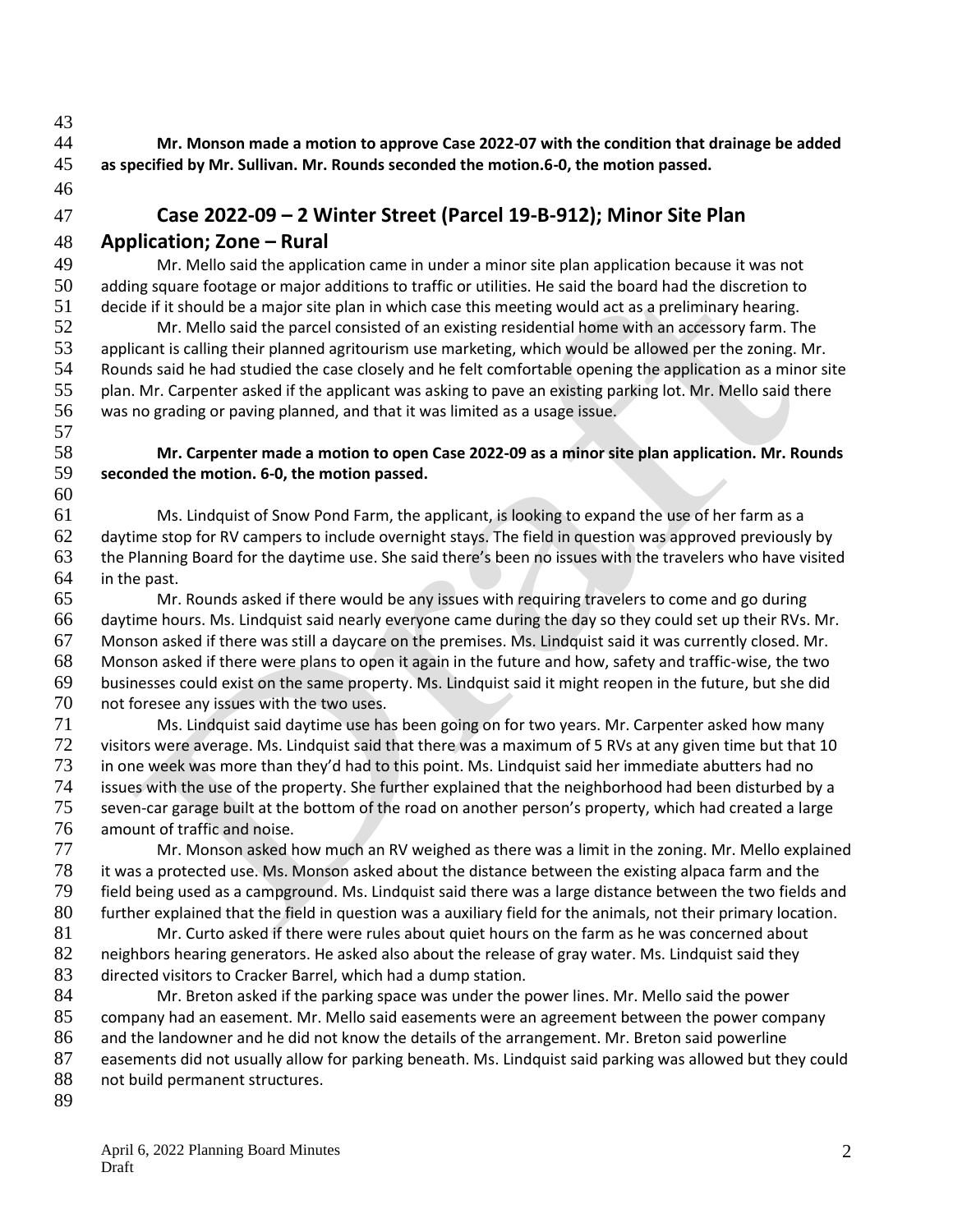**Mr. Monson made a motion to approve Case 2022-07 with the condition that drainage be added** 

 **as specified by Mr. Sullivan. Mr. Rounds seconded the motion.6-0, the motion passed.**  

# **Case 2022-09 – 2 Winter Street (Parcel 19-B-912); Minor Site Plan**

**Application; Zone – Rural**

 Mr. Mello said the application came in under a minor site plan application because it was not adding square footage or major additions to traffic or utilities. He said the board had the discretion to decide if it should be a major site plan in which case this meeting would act as a preliminary hearing.

 Mr. Mello said the parcel consisted of an existing residential home with an accessory farm. The 53 applicant is calling their planned agritourism use marketing, which would be allowed per the zoning. Mr.<br>54 Rounds said he had studied the case closely and he felt comfortable opening the application as a minor s Rounds said he had studied the case closely and he felt comfortable opening the application as a minor site plan. Mr. Carpenter asked if the applicant was asking to pave an existing parking lot. Mr. Mello said there was no grading or paving planned, and that it was limited as a usage issue. 

### **Mr. Carpenter made a motion to open Case 2022-09 as a minor site plan application. Mr. Rounds seconded the motion. 6-0, the motion passed.**

 Ms. Lindquist of Snow Pond Farm, the applicant, is looking to expand the use of her farm as a daytime stop for RV campers to include overnight stays. The field in question was approved previously by the Planning Board for the daytime use. She said there's been no issues with the travelers who have visited in the past.

 Mr. Rounds asked if there would be any issues with requiring travelers to come and go during daytime hours. Ms. Lindquist said nearly everyone came during the day so they could set up their RVs. Mr. Monson asked if there was still a daycare on the premises. Ms. Lindquist said it was currently closed. Mr. Monson asked if there were plans to open it again in the future and how, safety and traffic-wise, the two businesses could exist on the same property. Ms. Lindquist said it might reopen in the future, but she did not foresee any issues with the two uses.

 Ms. Lindquist said daytime use has been going on for two years. Mr. Carpenter asked how many visitors were average. Ms. Lindquist said that there was a maximum of 5 RVs at any given time but that 10 in one week was more than they'd had to this point. Ms. Lindquist said her immediate abutters had no issues with the use of the property. She further explained that the neighborhood had been disturbed by a seven-car garage built at the bottom of the road on another person's property, which had created a large amount of traffic and noise.

 Mr. Monson asked how much an RV weighed as there was a limit in the zoning. Mr. Mello explained it was a protected use. Ms. Monson asked about the distance between the existing alpaca farm and the field being used as a campground. Ms. Lindquist said there was a large distance between the two fields and further explained that the field in question was a auxiliary field for the animals, not their primary location. Mr. Curto asked if there were rules about quiet hours on the farm as he was concerned about

82 neighbors hearing generators. He asked also about the release of gray water. Ms. Lindquist said they directed visitors to Cracker Barrel, which had a dump station.

 Mr. Breton asked if the parking space was under the power lines. Mr. Mello said the power company had an easement. Mr. Mello said easements were an agreement between the power company and the landowner and he did not know the details of the arrangement. Mr. Breton said powerline easements did not usually allow for parking beneath. Ms. Lindquist said parking was allowed but they could 88 not build permanent structures.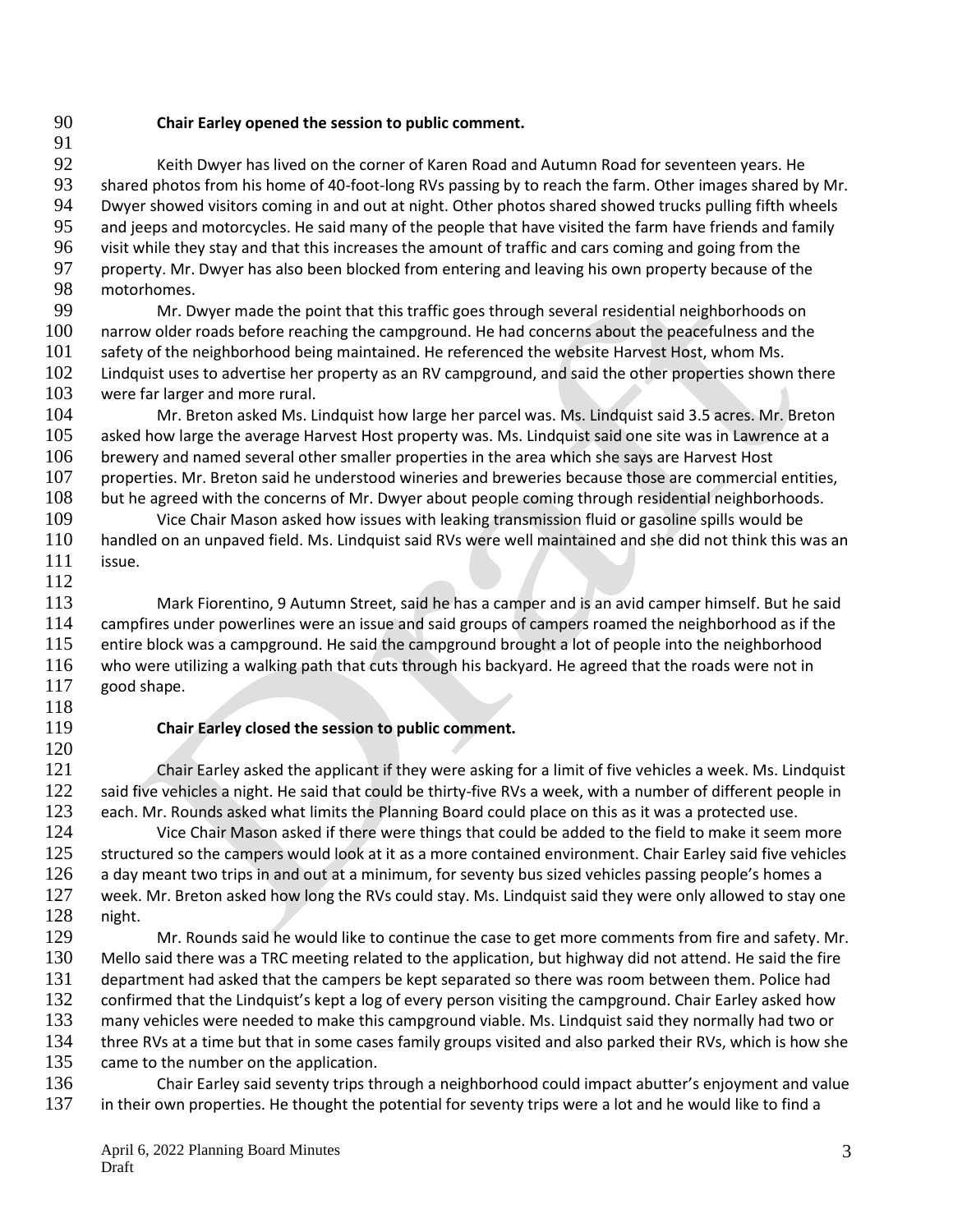#### **Chair Earley opened the session to public comment.**

 Keith Dwyer has lived on the corner of Karen Road and Autumn Road for seventeen years. He 93 shared photos from his home of 40-foot-long RVs passing by to reach the farm. Other images shared by Mr.<br>94 Dwyer showed visitors coming in and out at night. Other photos shared showed trucks pulling fifth wheels Dwyer showed visitors coming in and out at night. Other photos shared showed trucks pulling fifth wheels and jeeps and motorcycles. He said many of the people that have visited the farm have friends and family visit while they stay and that this increases the amount of traffic and cars coming and going from the property. Mr. Dwyer has also been blocked from entering and leaving his own property because of the motorhomes.

 Mr. Dwyer made the point that this traffic goes through several residential neighborhoods on narrow older roads before reaching the campground. He had concerns about the peacefulness and the safety of the neighborhood being maintained. He referenced the website Harvest Host, whom Ms. Lindquist uses to advertise her property as an RV campground, and said the other properties shown there were far larger and more rural.

 Mr. Breton asked Ms. Lindquist how large her parcel was. Ms. Lindquist said 3.5 acres. Mr. Breton asked how large the average Harvest Host property was. Ms. Lindquist said one site was in Lawrence at a brewery and named several other smaller properties in the area which she says are Harvest Host properties. Mr. Breton said he understood wineries and breweries because those are commercial entities,

 but he agreed with the concerns of Mr. Dwyer about people coming through residential neighborhoods. Vice Chair Mason asked how issues with leaking transmission fluid or gasoline spills would be handled on an unpaved field. Ms. Lindquist said RVs were well maintained and she did not think this was an issue.

 Mark Fiorentino, 9 Autumn Street, said he has a camper and is an avid camper himself. But he said campfires under powerlines were an issue and said groups of campers roamed the neighborhood as if the entire block was a campground. He said the campground brought a lot of people into the neighborhood who were utilizing a walking path that cuts through his backyard. He agreed that the roads were not in good shape.

#### **Chair Earley closed the session to public comment.**

 Chair Earley asked the applicant if they were asking for a limit of five vehicles a week. Ms. Lindquist 122 said five vehicles a night. He said that could be thirty-five RVs a week, with a number of different people in each. Mr. Rounds asked what limits the Planning Board could place on this as it was a protected use. Vice Chair Mason asked if there were things that could be added to the field to make it seem more 125 structured so the campers would look at it as a more contained environment. Chair Earley said five vehicles 126 a day meant two trips in and out at a minimum, for seventy bus sized vehicles passing people's homes a week. Mr. Breton asked how long the RVs could stay. Ms. Lindquist said they were only allowed to stay one

128 night.<br>129 Mr. Rounds said he would like to continue the case to get more comments from fire and safety. Mr. Mello said there was a TRC meeting related to the application, but highway did not attend. He said the fire department had asked that the campers be kept separated so there was room between them. Police had 132 confirmed that the Lindquist's kept a log of every person visiting the campground. Chair Earley asked how many vehicles were needed to make this campground viable. Ms. Lindquist said they normally had two or 134 three RVs at a time but that in some cases family groups visited and also parked their RVs, which is how she 135 came to the number on the application.

136 Chair Earley said seventy trips through a neighborhood could impact abutter's enjoyment and value<br>137 in their own properties. He thought the potential for seventy trips were a lot and he would like to find a in their own properties. He thought the potential for seventy trips were a lot and he would like to find a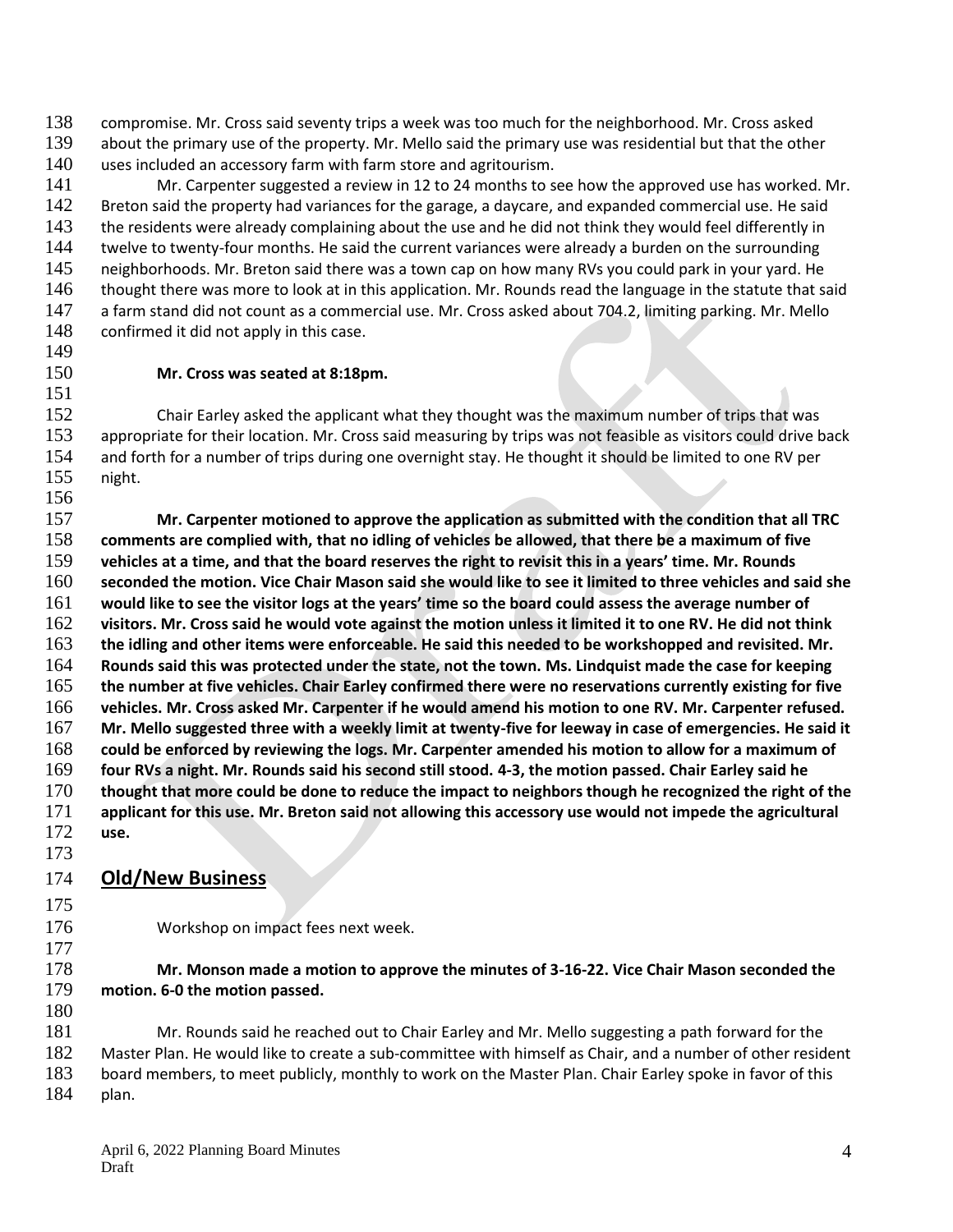compromise. Mr. Cross said seventy trips a week was too much for the neighborhood. Mr. Cross asked about the primary use of the property. Mr. Mello said the primary use was residential but that the other

uses included an accessory farm with farm store and agritourism.

 Mr. Carpenter suggested a review in 12 to 24 months to see how the approved use has worked. Mr. 142 Breton said the property had variances for the garage, a daycare, and expanded commercial use. He said 143 the residents were already complaining about the use and he did not think they would feel differently in 144 twelve to twenty-four months. He said the current variances were already a burden on the surrounding neighborhoods. Mr. Breton said there was a town cap on how many RVs you could park in your yard. He 146 thought there was more to look at in this application. Mr. Rounds read the language in the statute that said a farm stand did not count as a commercial use. Mr. Cross asked about 704.2, limiting parking. Mr. Mello 148 confirmed it did not apply in this case.

#### **Mr. Cross was seated at 8:18pm.**

 Chair Earley asked the applicant what they thought was the maximum number of trips that was 153 appropriate for their location. Mr. Cross said measuring by trips was not feasible as visitors could drive back and forth for a number of trips during one overnight stay. He thought it should be limited to one RV per night.

 **Mr. Carpenter motioned to approve the application as submitted with the condition that all TRC comments are complied with, that no idling of vehicles be allowed, that there be a maximum of five vehicles at a time, and that the board reserves the right to revisit this in a years' time. Mr. Rounds seconded the motion. Vice Chair Mason said she would like to see it limited to three vehicles and said she would like to see the visitor logs at the years' time so the board could assess the average number of visitors. Mr. Cross said he would vote against the motion unless it limited it to one RV. He did not think the idling and other items were enforceable. He said this needed to be workshopped and revisited. Mr. Rounds said this was protected under the state, not the town. Ms. Lindquist made the case for keeping the number at five vehicles. Chair Earley confirmed there were no reservations currently existing for five vehicles. Mr. Cross asked Mr. Carpenter if he would amend his motion to one RV. Mr. Carpenter refused. Mr. Mello suggested three with a weekly limit at twenty-five for leeway in case of emergencies. He said it could be enforced by reviewing the logs. Mr. Carpenter amended his motion to allow for a maximum of four RVs a night. Mr. Rounds said his second still stood. 4-3, the motion passed. Chair Earley said he thought that more could be done to reduce the impact to neighbors though he recognized the right of the applicant for this use. Mr. Breton said not allowing this accessory use would not impede the agricultural** 

 **use.**  

## **Old/New Business**

Workshop on impact fees next week.

 **Mr. Monson made a motion to approve the minutes of 3-16-22. Vice Chair Mason seconded the motion. 6-0 the motion passed.** 

- Mr. Rounds said he reached out to Chair Earley and Mr. Mello suggesting a path forward for the Master Plan. He would like to create a sub-committee with himself as Chair, and a number of other resident board members, to meet publicly, monthly to work on the Master Plan. Chair Earley spoke in favor of this
- plan.